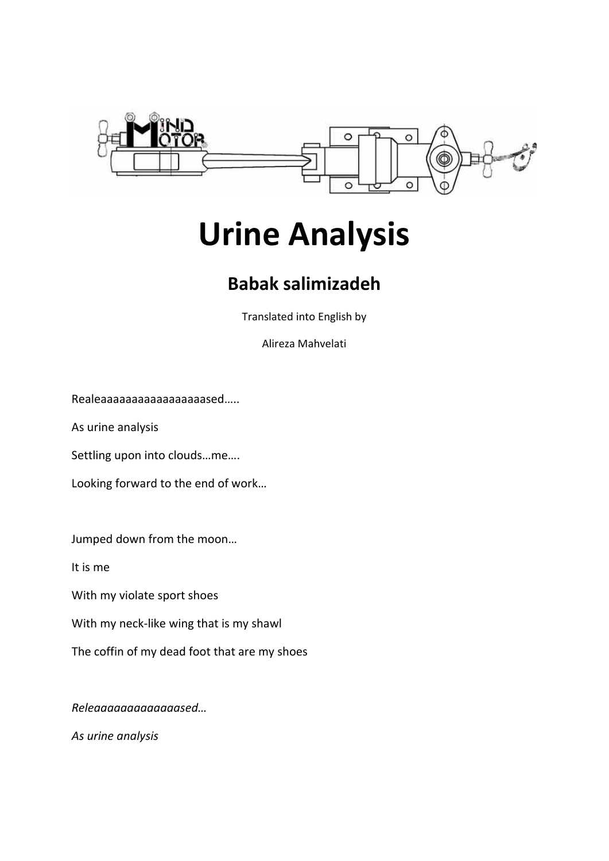

## **Urine Analysis**

## **Babak salimizadeh**

Translated into English by

Alireza Mahvelati

Realeaaaaaaaaaaaaaaaaased…..

As urine analysis

Settling upon into clouds…me….

Looking forward to the end of work…

Jumped down from the moon…

It is me

With my violate sport shoes

With my neck-like wing that is my shawl

The coffin of my dead foot that are my shoes

*Releaaaaaaaaaaaaased…*

*As urine analysis*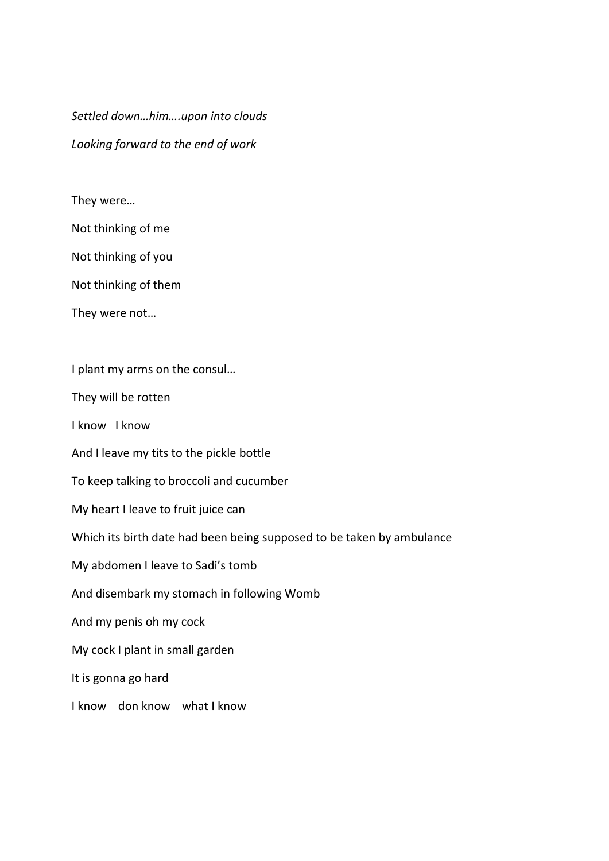*Settled down…him….upon into clouds Looking forward to the end of work*

## They were…

Not thinking of me

Not thinking of you

Not thinking of them

They were not…

I plant my arms on the consul…

They will be rotten

I know I know

And I leave my tits to the pickle bottle

To keep talking to broccoli and cucumber

My heart I leave to fruit juice can

Which its birth date had been being supposed to be taken by ambulance

My abdomen I leave to Sadi's tomb

And disembark my stomach in following Womb

And my penis oh my cock

My cock I plant in small garden

It is gonna go hard

I know don know what I know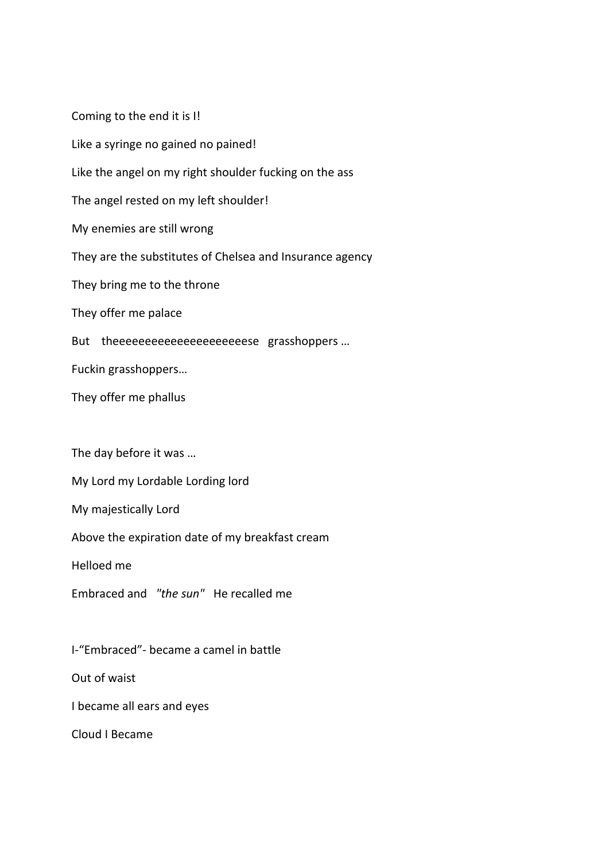Coming to the end it is I! Like a syringe no gained no pained! Like the angel on my right shoulder fucking on the ass The angel rested on my left shoulder! My enemies are still wrong They are the substitutes of Chelsea and Insurance agency They bring me to the throne They offer me palace But theeeeeeeeeeeeeeeeeeeese grasshoppers ... Fuckin grasshoppers… They offer me phallus The day before it was … My Lord my Lordable Lording lord My majestically Lord Above the expiration date of my breakfast cream Helloed me Embraced and *"the sun"* He recalled me I‐"Embraced"‐ became a camel in battle Out of waist

I became all ears and eyes

Cloud I Became